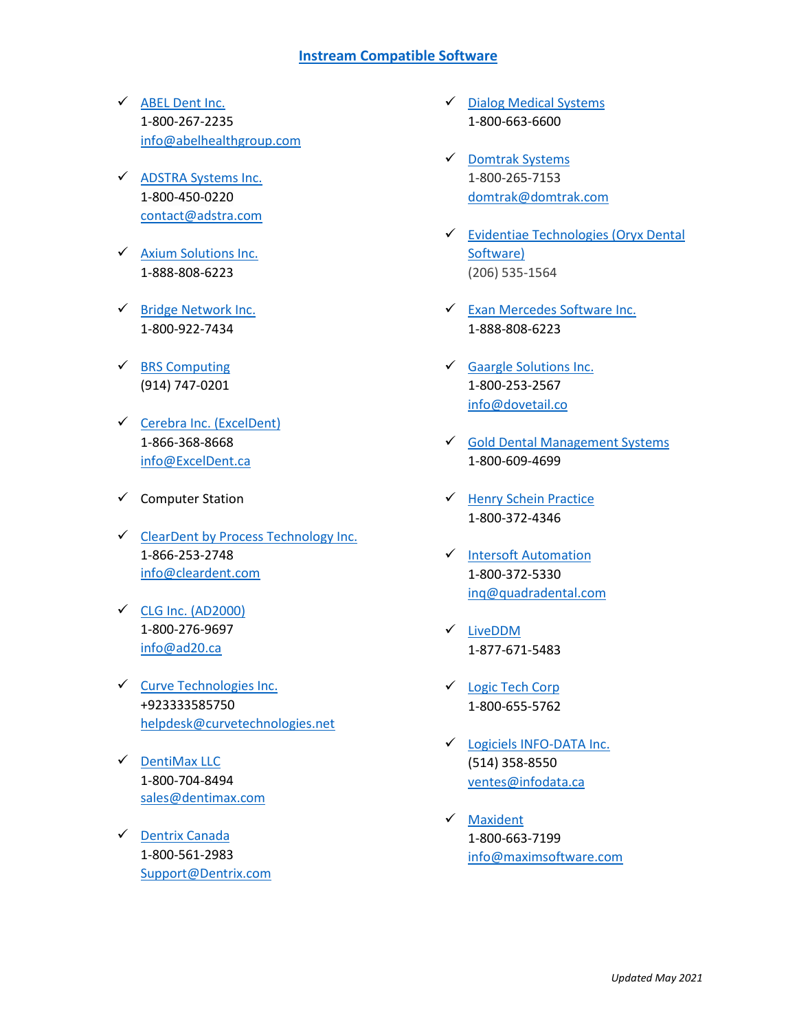## **[Instream Compatible Software](https://instreamcanada.com/instream-claims/)**

- $\checkmark$  [ABEL Dent Inc.](http://www.abeldent.com/) 1-800-267-2235 [info@abelhealthgroup.com](mailto:info@abelhealthgroup.com)
- [ADSTRA Systems Inc.](http://adstra.com/adstra-dental-software/) 1-800-450-0220 [contact@adstra.com](mailto:contact@adstra.com)
- $\checkmark$  [Axium Solutions Inc.](https://www.exansoftware.com/axium/) 1-888-808-6223
- $\checkmark$  [Bridge Network Inc.](http://gotracker.com/) 1-800-922-7434
- $\checkmark$  [BRS Computing](https://brsdental.com/) (914) 747-0201
- $\checkmark$  [Cerebra Inc.](http://www.cerebra-consulting.com/) (ExcelDent) 1-866-368-8668 [info@ExcelDent.ca](mailto:info@ExcelDent.ca)
- $\checkmark$  Computer Station
- $\checkmark$  [ClearDent by Process Technology Inc.](https://www.cleardent.com/) [1-866-253-2748](tel:+18662532748) [info@cleardent.com](mailto:info@cleardent.com)
- $\checkmark$  [CLG Inc. \(AD2000\)](http://www.ad2000.info/) 1-800-276-9697 [info@ad20.ca](mailto:info@ad20.ca)
- $\checkmark$  [Curve Technologies Inc.](http://www.curvetechnologies.net/) +923333585750 [helpdesk@curvetechnologies.net](mailto:helpdesk@curvetechnologies.net)
- $\checkmark$  [DentiMax LLC](https://www.dentimax.com/) 1-800-704-8494 [sales@dentimax.com](mailto:sales@dentimax.com)
- ← [Dentrix Canada](http://www.dentrix.com/) 1-800-561-2983 [Support@Dentrix.com](mailto:Support@Dentrix.com)
- $\checkmark$  [Dialog Medical Systems](http://www.dialogmedsys.com/) 1-800-663-6600
- [Domtrak Systems](http://www.domtrak.ca/) 1-800-265-7153 [domtrak@domtrak.com](mailto:domtrak@domtrak.com)
- [Evidentiae Technologies](https://oryxdentalsoftware.com/) [\(Oryx Dental](https://oryxdentalsoftware.com/)  [Software\)](https://oryxdentalsoftware.com/) (206) 535-1564
- [Exan Mercedes Software Inc.](https://www.exansoftware.com/) 1-888-808-6223
- [Gaargle Solutions Inc.](http://dovetail.co/) 1-800-253-2567 [info@dovetail.co](mailto:info@dovetail.co)
- $\checkmark$  [Gold Dental Management Systems](http://golddentalsoftware.com/) 1-800-609-4699
- $\checkmark$  [Henry Schein Practice](https://www.henryschein.com/us-en/Dental/practicesolutions/ManagingPrac.aspx) 1-800-372-4346
- V [Intersoft Automation](http://www.quadradental.com/) 1-800-372-5330 [inq@quadradental.com](mailto:inq@quadradental.com)
- [LiveDDM](http://www.liveddm.com/) 1-877-671-5483
- [Logic Tech Corp](http://paradigm-clinical.com/) 1-800-655-5762
- [Logiciels INFO-DATA Inc.](http://www.infodata.ca/InfoData/fr/index.html) (514) 358-8550 [ventes@infodata.ca](mailto:ventes@infodata.ca)
- $\sqrt{\phantom{a}}$  [Maxident](https://maxidentsoftware.com/) 1-800-663-7199 [info@maximsoftware.com](mailto:info@maximsoftware.com)